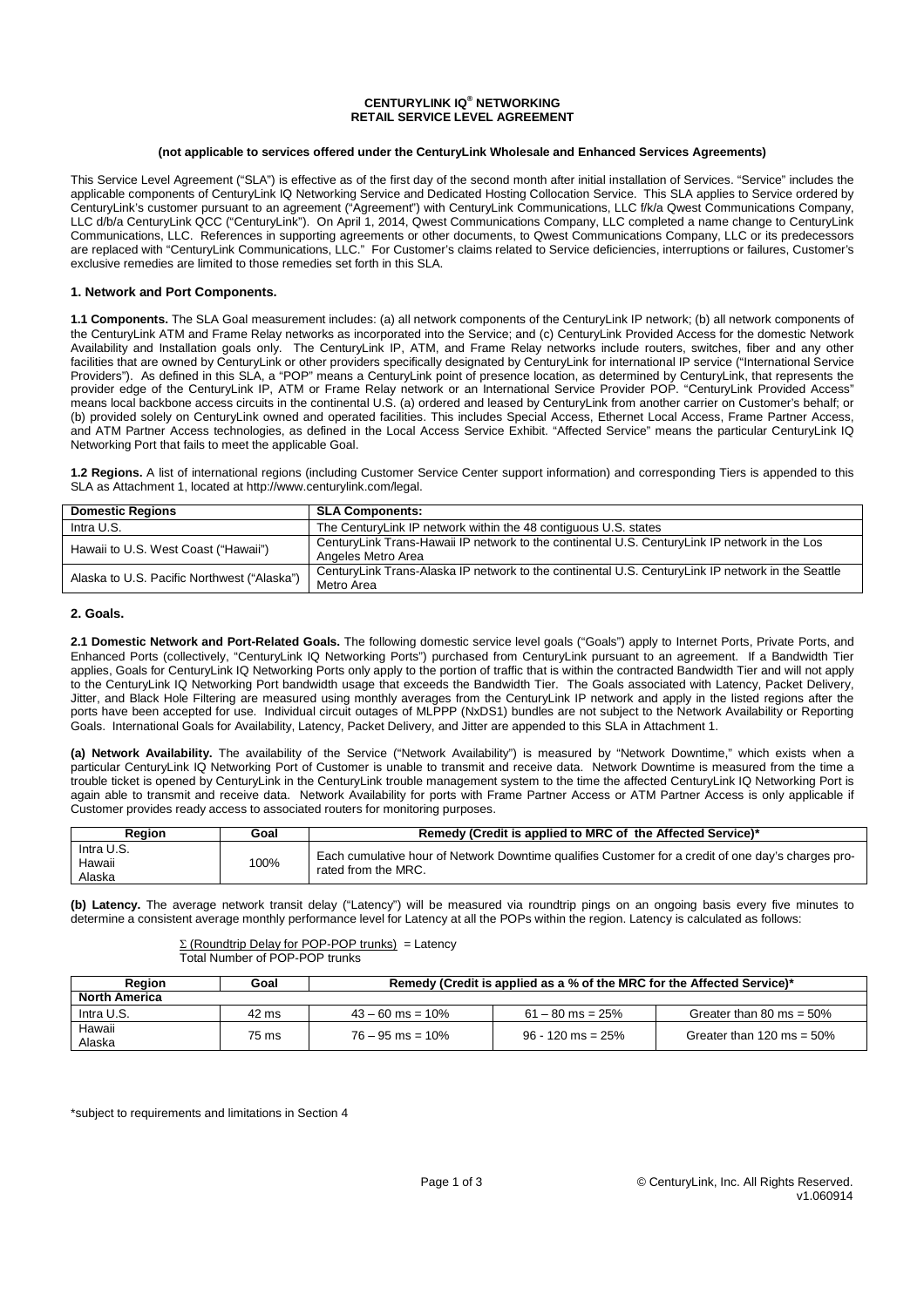### **CENTURYLINK IQ® NETWORKING RETAIL SERVICE LEVEL AGREEMENT**

#### **(not applicable to services offered under the CenturyLink Wholesale and Enhanced Services Agreements)**

This Service Level Agreement ("SLA") is effective as of the first day of the second month after initial installation of Services. "Service" includes the applicable components of CenturyLink IQ Networking Service and Dedicated Hosting Collocation Service. This SLA applies to Service ordered by CenturyLink's customer pursuant to an agreement ("Agreement") with CenturyLink Communications, LLC f/k/a Qwest Communications Company, LLC d/b/a CenturyLink QCC ("CenturyLink"). On April 1, 2014, Qwest Communications Company, LLC completed a name change to CenturyLink Communications, LLC. References in supporting agreements or other documents, to Qwest Communications Company, LLC or its predecessors are replaced with "CenturyLink Communications, LLC." For Customer's claims related to Service deficiencies, interruptions or failures, Customer's exclusive remedies are limited to those remedies set forth in this SLA.

### **1. Network and Port Components.**

**1.1 Components.** The SLA Goal measurement includes: (a) all network components of the CenturyLink IP network; (b) all network components of the CenturyLink ATM and Frame Relay networks as incorporated into the Service; and (c) CenturyLink Provided Access for the domestic Network Availability and Installation goals only. The CenturyLink IP, ATM, and Frame Relay networks include routers, switches, fiber and any other facilities that are owned by CenturyLink or other providers specifically designated by CenturyLink for international IP service ("International Service Providers"). As defined in this SLA, a "POP" means a CenturyLink point of presence location, as determined by CenturyLink, that represents the provider edge of the CenturyLink IP, ATM or Frame Relay network or an International Service Provider POP. "CenturyLink Provided Access" means local backbone access circuits in the continental U.S. (a) ordered and leased by CenturyLink from another carrier on Customer's behalf; or (b) provided solely on CenturyLink owned and operated facilities. This includes Special Access, Ethernet Local Access, Frame Partner Access, and ATM Partner Access technologies, as defined in the Local Access Service Exhibit. "Affected Service" means the particular CenturyLink IQ Networking Port that fails to meet the applicable Goal.

**1.2 Regions.** A list of international regions (including Customer Service Center support information) and corresponding Tiers is appended to this SLA as Attachment 1, located at http://www.centurylink.com/legal.

| <b>Domestic Regions</b>                     | <b>SLA Components:</b>                                                                                              |
|---------------------------------------------|---------------------------------------------------------------------------------------------------------------------|
| Intra U.S.                                  | The CenturyLink IP network within the 48 contiguous U.S. states                                                     |
| Hawaii to U.S. West Coast ("Hawaii")        | CenturyLink Trans-Hawaii IP network to the continental U.S. CenturyLink IP network in the Los<br>Angeles Metro Area |
| Alaska to U.S. Pacific Northwest ("Alaska") | CenturyLink Trans-Alaska IP network to the continental U.S. CenturyLink IP network in the Seattle<br>Metro Area     |

### **2. Goals.**

2.1 Domestic Network and Port-Related Goals. The following domestic service level goals ("Goals") apply to Internet Ports. Private Ports, and Enhanced Ports (collectively, "CenturyLink IQ Networking Ports") purchased from CenturyLink pursuant to an agreement. If a Bandwidth Tier applies, Goals for CenturyLink IQ Networking Ports only apply to the portion of traffic that is within the contracted Bandwidth Tier and will not apply to the CenturyLink IQ Networking Port bandwidth usage that exceeds the Bandwidth Tier. The Goals associated with Latency, Packet Delivery, Jitter, and Black Hole Filtering are measured using monthly averages from the CenturyLink IP network and apply in the listed regions after the ports have been accepted for use. Individual circuit outages of MLPPP (NxDS1) bundles are not subject to the Network Availability or Reporting Goals. International Goals for Availability, Latency, Packet Delivery, and Jitter are appended to this SLA in Attachment 1.

**(a) Network Availability.** The availability of the Service ("Network Availability") is measured by "Network Downtime," which exists when a particular CenturyLink IQ Networking Port of Customer is unable to transmit and receive data. Network Downtime is measured from the time a trouble ticket is opened by CenturyLink in the CenturyLink trouble management system to the time the affected CenturyLink IQ Networking Port is again able to transmit and receive data. Network Availability for ports with Frame Partner Access or ATM Partner Access is only applicable if Customer provides ready access to associated routers for monitoring purposes.

| Reaion                         | Goal | Remedy (Credit is applied to MRC of the Affected Service)*                                                                |  |  |
|--------------------------------|------|---------------------------------------------------------------------------------------------------------------------------|--|--|
| Intra U.S.<br>Hawaii<br>Alaska | 100% | Each cumulative hour of Network Downtime qualifies Customer for a credit of one day's charges pro-<br>rated from the MRC. |  |  |

**(b) Latency.** The average network transit delay ("Latency") will be measured via roundtrip pings on an ongoing basis every five minutes to determine a consistent average monthly performance level for Latency at all the POPs within the region. Latency is calculated as follows:

> $\Sigma$  (Roundtrip Delay for POP-POP trunks) = Latency Total Number of POP-POP trunks

| <b>Region</b>        | Goal  | Remedy (Credit is applied as a % of the MRC for the Affected Service)* |                     |                              |  |
|----------------------|-------|------------------------------------------------------------------------|---------------------|------------------------------|--|
| <b>North America</b> |       |                                                                        |                     |                              |  |
| Intra U.S.           | 42 ms | $43 - 60$ ms = 10%                                                     | $61 - 80$ ms = 25%  | Greater than 80 ms = $50\%$  |  |
| Hawaii<br>Alaska     | 75 ms | $76 - 95$ ms = 10%                                                     | $96 - 120$ ms = 25% | Greater than 120 ms = $50\%$ |  |

\*subject to requirements and limitations in Section 4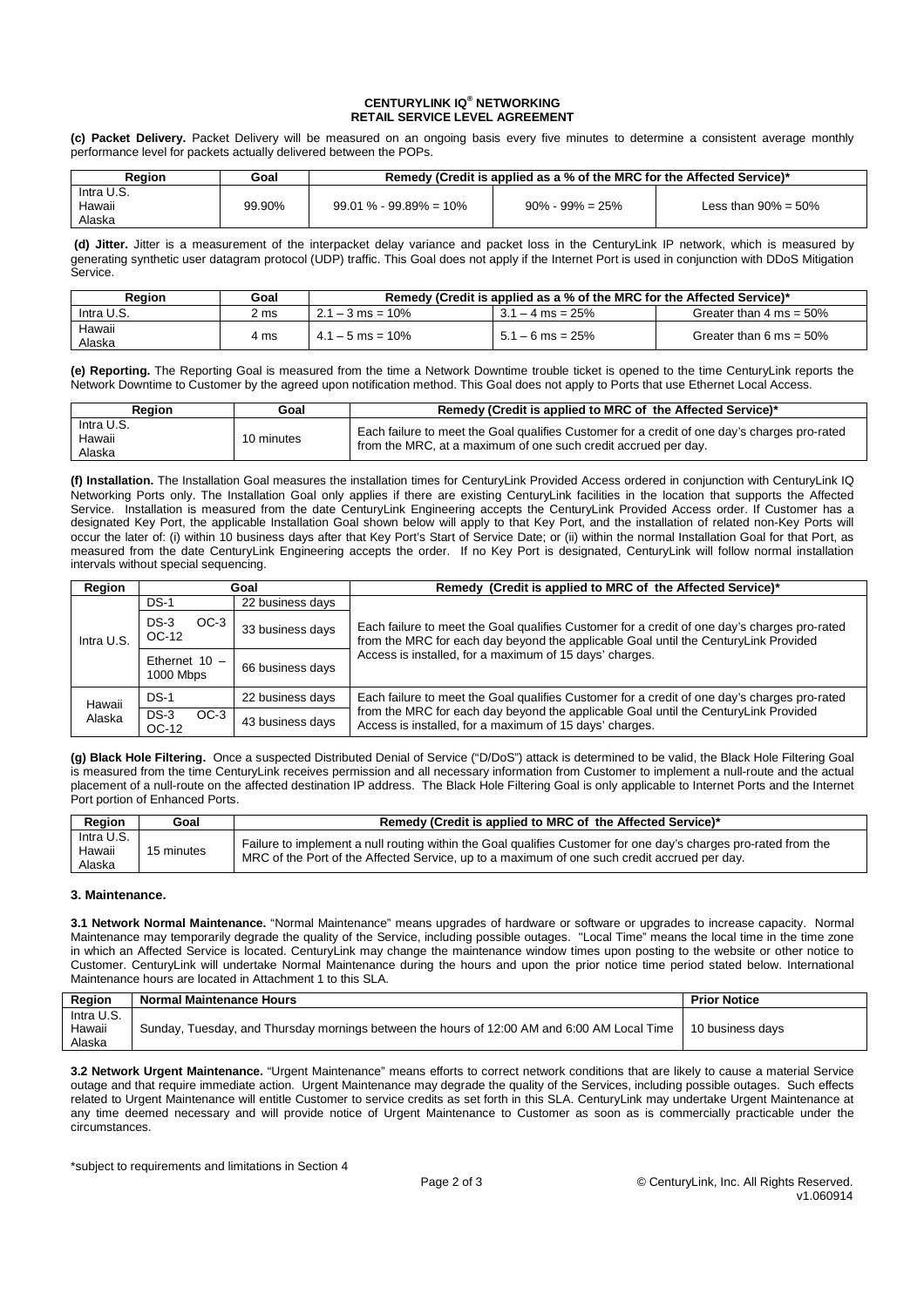## **CENTURYLINK IQ® NETWORKING RETAIL SERVICE LEVEL AGREEMENT**

**(c) Packet Delivery.** Packet Delivery will be measured on an ongoing basis every five minutes to determine a consistent average monthly performance level for packets actually delivered between the POPs.

| Reaion                         | Goal   | Remedy (Credit is applied as a % of the MRC for the Affected Service)* |                      |                         |
|--------------------------------|--------|------------------------------------------------------------------------|----------------------|-------------------------|
| Intra U.S.<br>Hawaii<br>Alaska | 99.90% | $99.01\% - 99.89\% = 10\%$                                             | $90\% - 99\% = 25\%$ | Less than $90\% = 50\%$ |

**(d) Jitter.** Jitter is a measurement of the interpacket delay variance and packet loss in the CenturyLink IP network, which is measured by generating synthetic user datagram protocol (UDP) traffic. This Goal does not apply if the Internet Port is used in conjunction with DDoS Mitigation Service.

| Reaion           | Goal | Remedy (Credit is applied as a % of the MRC for the Affected Service)* |                    |                                    |
|------------------|------|------------------------------------------------------------------------|--------------------|------------------------------------|
| Intra U.S.       | 2 ms | $2.1 - 3$ ms = 10%                                                     | $3.1 - 4$ ms = 25% | Greater than $4 \text{ ms} = 50\%$ |
| Hawaii<br>Alaska | 4 ms | $4.1 - 5$ ms = 10%                                                     | $5.1 - 6$ ms = 25% | Greater than 6 ms = $50\%$         |

**(e) Reporting.** The Reporting Goal is measured from the time a Network Downtime trouble ticket is opened to the time CenturyLink reports the Network Downtime to Customer by the agreed upon notification method. This Goal does not apply to Ports that use Ethernet Local Access.

| <b>Region</b>                  | Goal       | Remedy (Credit is applied to MRC of the Affected Service)*                                                                                                     |  |  |
|--------------------------------|------------|----------------------------------------------------------------------------------------------------------------------------------------------------------------|--|--|
| Intra U.S.<br>Hawaii<br>Alaska | 10 minutes | Each failure to meet the Goal qualifies Customer for a credit of one day's charges pro-rated<br>from the MRC, at a maximum of one such credit accrued per day. |  |  |

**(f) Installation.** The Installation Goal measures the installation times for CenturyLink Provided Access ordered in conjunction with CenturyLink IQ Networking Ports only. The Installation Goal only applies if there are existing CenturyLink facilities in the location that supports the Affected Service. Installation is measured from the date CenturyLink Engineering accepts the CenturyLink Provided Access order. If Customer has a designated Key Port, the applicable Installation Goal shown below will apply to that Key Port, and the installation of related non-Key Ports will occur the later of: (i) within 10 business days after that Key Port's Start of Service Date; or (ii) within the normal Installation Goal for that Port, as measured from the date CenturyLink Engineering accepts the order. If no Key Port is designated, CenturyLink will follow normal installation intervals without special sequencing.

| Region     |                                               | Remedy (Credit is applied to MRC of the Affected Service)*<br>Goal |                                                                                                                                                                                     |  |
|------------|-----------------------------------------------|--------------------------------------------------------------------|-------------------------------------------------------------------------------------------------------------------------------------------------------------------------------------|--|
|            | $DS-1$                                        | 22 business days                                                   |                                                                                                                                                                                     |  |
| Intra U.S. | $DS-3$<br>$OC-3$<br>33 business days<br>OC-12 |                                                                    | Each failure to meet the Goal qualifies Customer for a credit of one day's charges pro-rated<br>from the MRC for each day beyond the applicable Goal until the CenturyLink Provided |  |
|            | Ethernet $10 -$<br>1000 Mbps                  | 66 business days                                                   | Access is installed, for a maximum of 15 days' charges.                                                                                                                             |  |
| Hawaii     | DS-1                                          | 22 business days                                                   | Each failure to meet the Goal qualifies Customer for a credit of one day's charges pro-rated                                                                                        |  |
| Alaska     | $DS-3$<br>$OC-3$<br>OC-12                     | 43 business days                                                   | from the MRC for each day beyond the applicable Goal until the CenturyLink Provided<br>Access is installed, for a maximum of 15 days' charges.                                      |  |

**(g) Black Hole Filtering.** Once a suspected Distributed Denial of Service ("D/DoS") attack is determined to be valid, the Black Hole Filtering Goal is measured from the time CenturyLink receives permission and all necessary information from Customer to implement a null-route and the actual placement of a null-route on the affected destination IP address. The Black Hole Filtering Goal is only applicable to Internet Ports and the Internet Port portion of Enhanced Ports.

| <b>Region</b>                  | Goal       | Remedy (Credit is applied to MRC of the Affected Service)*                                                                                                                                                      |  |  |
|--------------------------------|------------|-----------------------------------------------------------------------------------------------------------------------------------------------------------------------------------------------------------------|--|--|
| Intra U.S.<br>Hawaii<br>Alaska | 15 minutes | Failure to implement a null routing within the Goal qualifies Customer for one day's charges pro-rated from the<br>MRC of the Port of the Affected Service, up to a maximum of one such credit accrued per day. |  |  |

# **3. Maintenance.**

**3.1 Network Normal Maintenance.** "Normal Maintenance" means upgrades of hardware or software or upgrades to increase capacity. Normal Maintenance may temporarily degrade the quality of the Service, including possible outages. "Local Time" means the local time in the time zone in which an Affected Service is located. CenturyLink may change the maintenance window times upon posting to the website or other notice to Customer. CenturyLink will undertake Normal Maintenance during the hours and upon the prior notice time period stated below. International Maintenance hours are located in Attachment 1 to this SLA.

| Region     | <b>Normal Maintenance Hours</b>                                                             | <b>Prior Notice</b> |
|------------|---------------------------------------------------------------------------------------------|---------------------|
| Intra U.S. |                                                                                             |                     |
| Hawaii     | Sunday, Tuesday, and Thursday mornings between the hours of 12:00 AM and 6:00 AM Local Time | 10 business davs    |
| Alaska     |                                                                                             |                     |

**3.2 Network Urgent Maintenance.** "Urgent Maintenance" means efforts to correct network conditions that are likely to cause a material Service outage and that require immediate action. Urgent Maintenance may degrade the quality of the Services, including possible outages. Such effects related to Urgent Maintenance will entitle Customer to service credits as set forth in this SLA. CenturyLink may undertake Urgent Maintenance at any time deemed necessary and will provide notice of Urgent Maintenance to Customer as soon as is commercially practicable under the circumstances.

\*subject to requirements and limitations in Section 4